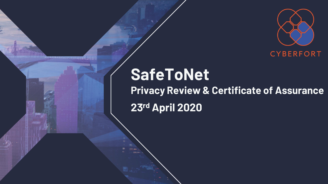

# **SafeToNet Privacy Review & Certificate of Assurance** 23rd April 2020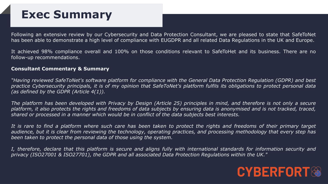### **Exec Summary**

Following an extensive review by our Cybersecurity and Data Protection Consultant, we are pleased to state that SafeToNet has been able to demonstrate a high level of compliance with EUGDPR and all related Data Regulations in the UK and Europe.

It achieved 98% compliance overall and 100% on those conditions relevant to SafeToHet and its business. There are no follow-up recommendations.

#### **Consultant Commentary & Summary**

"Having reviewed SafeToNet's software platform for compliance with the General Data Protection Regulation (GDPR) and best practice Cybersecurity principals, it is of my opinion that SafeToNet's platform fulfils its obligations to protect personal data *(as defined by the GDPR (Article 4(1)).*

The platform has been developed with Privacy by Design (Article 25) principles in mind, and therefore is not only a secure platform, it also protects the rights and freedoms of data subjects by ensuring data is anonymised and is not tracked, traced, *shared or processed in a manner which would be in conflict of the data subjects best interests.*

It is rare to find a platform where such care has been taken to protect the rights and freedoms of their primary target audience, but it is clear from reviewing the technology, operating practices, and processing methodology that every step has *been taken to protect the personal data of those using the system.*

I, therefore, declare that this platform is secure and aligns fully with international standards for information security and *privacy (ISO27001 & ISO27701), the GDPR and all associated Data Protection Regulations within the UK."*

### **CYBERFORT**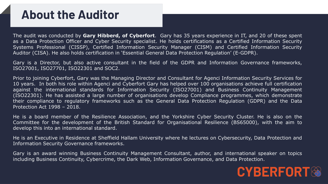## **About the Auditor**

The audit was conducted by **Gary Hibberd, of Cyberfort**. Gary has 35 years experience in IT, and 20 of these spent as a Data Protection Officer and Cyber Security specialist. He holds certifications as a Certified Information Security Systems Professional (CISSP), Certified Information Security Manager (CISM) and Certified Information Security Auditor (CISA). He also holds certification in 'Essential General Data Protection Regulation' (E-GDPR).

Gary is a Director, but also active consultant in the field of the GDPR and Information Governance frameworks, ISO27001, ISO27701, ISO22301 and SOC2.

Prior to joining Cyberfort, Gary was the Managing Director and Consultant for Agenci Information Security Services for 10 years. In both his role within Agenci and Cyberfort Gary has helped over 100 organisations achieve full certification against the international standards for Information Security (ISO27001) and Business Continuity Management (ISO22301). He has assisted a large number of organisations develop Compliance programmes, which demonstrate their compliance to regulatory frameworks such as the General Data Protection Regulation (GDPR) and the Data Protection Act 1998 – 2018.

He is a board member of the Resilience Association, and the Yorkshire Cyber Security Cluster. He is also on the Committee for the development of the British Standard for Organisational Resilience (BS65000), with the aim to develop this into an international standard.

He is an Executive in Residence at Sheffield Hallam University where he lectures on Cybersecurity, Data Protection and Information Security Governance frameworks.

Gary is an award winning Business Continuity Management Consultant, author, and international speaker on topics including Business Continuity, Cybercrime, the Dark Web, Information Governance, and Data Protection.

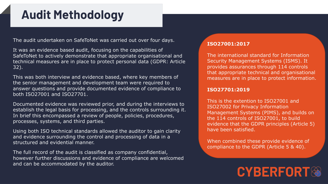## **Audit Methodology**

The audit undertaken on SafeToNet was carried out over four days.

It was an evidence based audit, focusing on the capabilities of SafeToNet to actively demonstrate that appropriate organisational and technical measures are in place to protect personal data (GDPR: Article 32).

This was both interview and evidence based, where key members of the senior management and development team were required to answer questions and provide documented evidence of compliance to both ISO27001 and ISO27701.

Documented evidence was reviewed prior, and during the interviews to establish the legal basis for processing, and the controls surrounding it. In brief this encompassed a review of people, policies, procedures, processes, systems, and third parties.

Using both ISO technical standards allowed the auditor to gain clarity and evidence surrounding the control and processing of data in a structured and evidential manner.

The full record of the audit is classified as company confidential, however further discussions and evidence of compliance are welcomed and can be accommodated by the auditor.

#### **ISO27001:2017**

The international standard for Information Security Management Systems (ISMS). It provides assurances through 114 controls that appropriate technical and organisational measures are in place to protect information.

#### **ISO27701:2019**

This is the extention to ISO27001 and ISO27002 for Privacy Information Management Systems (PIMS), and builds on the 114 controls of ISO27001, to build evidence that the GDPR principles (Article 5) have been satisfied.

When combined these provide evidence of compliance to the GDPR (Article 5 & 40).

## **CYBERFORT®**